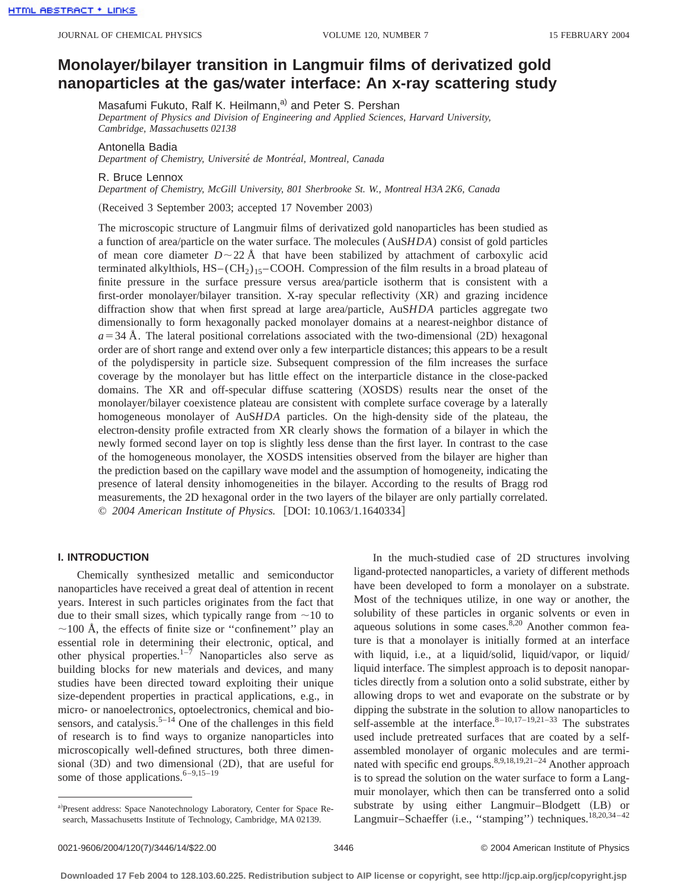# **MonolayerÕbilayer transition in Langmuir films of derivatized gold** hanoparticles at the gas/water interface: An x-ray scattering study

Masafumi Fukuto, Ralf K. Heilmann,<sup>a)</sup> and Peter S. Pershan

*Department of Physics and Division of Engineering and Applied Sciences, Harvard University, Cambridge, Massachusetts 02138*

Antonella Badia

*Department of Chemistry, Universite´ de Montre´al, Montreal, Canada*

R. Bruce Lennox

*Department of Chemistry, McGill University, 801 Sherbrooke St. W., Montreal H3A 2K6, Canada*

(Received 3 September 2003; accepted 17 November 2003)

The microscopic structure of Langmuir films of derivatized gold nanoparticles has been studied as a function of area/particle on the water surface. The molecules (AuS*HDA*) consist of gold particles of mean core diameter  $D \sim 22$  Å that have been stabilized by attachment of carboxylic acid terminated alkylthiols,  $HS - (CH<sub>2</sub>)<sub>15</sub>$ –COOH. Compression of the film results in a broad plateau of finite pressure in the surface pressure versus area/particle isotherm that is consistent with a first-order monolayer/bilayer transition. X-ray specular reflectivity (XR) and grazing incidence diffraction show that when first spread at large area/particle, AuS*HDA* particles aggregate two dimensionally to form hexagonally packed monolayer domains at a nearest-neighbor distance of  $a=34$  Å. The lateral positional correlations associated with the two-dimensional  $(2D)$  hexagonal order are of short range and extend over only a few interparticle distances; this appears to be a result of the polydispersity in particle size. Subsequent compression of the film increases the surface coverage by the monolayer but has little effect on the interparticle distance in the close-packed domains. The XR and off-specular diffuse scattering (XOSDS) results near the onset of the monolayer/bilayer coexistence plateau are consistent with complete surface coverage by a laterally homogeneous monolayer of AuS*HDA* particles. On the high-density side of the plateau, the electron-density profile extracted from XR clearly shows the formation of a bilayer in which the newly formed second layer on top is slightly less dense than the first layer. In contrast to the case of the homogeneous monolayer, the XOSDS intensities observed from the bilayer are higher than the prediction based on the capillary wave model and the assumption of homogeneity, indicating the presence of lateral density inhomogeneities in the bilayer. According to the results of Bragg rod measurements, the 2D hexagonal order in the two layers of the bilayer are only partially correlated. © 2004 American Institute of Physics. [DOI: 10.1063/1.1640334]

#### **I. INTRODUCTION**

Chemically synthesized metallic and semiconductor nanoparticles have received a great deal of attention in recent years. Interest in such particles originates from the fact that due to their small sizes, which typically range from  $\sim$ 10 to  $\sim$ 100 Å, the effects of finite size or "confinement" play an essential role in determining their electronic, optical, and other physical properties.<sup>1–7</sup> Nanoparticles also serve as building blocks for new materials and devices, and many studies have been directed toward exploiting their unique size-dependent properties in practical applications, e.g., in micro- or nanoelectronics, optoelectronics, chemical and biosensors, and catalysis.<sup>5–14</sup> One of the challenges in this field of research is to find ways to organize nanoparticles into microscopically well-defined structures, both three dimensional  $(3D)$  and two dimensional  $(2D)$ , that are useful for some of those applications.  $6-9,15-19$ 

In the much-studied case of 2D structures involving ligand-protected nanoparticles, a variety of different methods have been developed to form a monolayer on a substrate. Most of the techniques utilize, in one way or another, the solubility of these particles in organic solvents or even in aqueous solutions in some cases. $8,20$  Another common feature is that a monolayer is initially formed at an interface with liquid, i.e., at a liquid/solid, liquid/vapor, or liquid/ liquid interface. The simplest approach is to deposit nanoparticles directly from a solution onto a solid substrate, either by allowing drops to wet and evaporate on the substrate or by dipping the substrate in the solution to allow nanoparticles to self-assemble at the interface. $8-10,17-19,21-33$  The substrates used include pretreated surfaces that are coated by a selfassembled monolayer of organic molecules and are terminated with specific end groups.8,9,18,19,21–24 Another approach is to spread the solution on the water surface to form a Langmuir monolayer, which then can be transferred onto a solid substrate by using either Langmuir–Blodgett (LB) or Langmuir–Schaeffer (i.e., "stamping") techniques.<sup>18,20,34-42</sup>

a)Present address: Space Nanotechnology Laboratory, Center for Space Research, Massachusetts Institute of Technology, Cambridge, MA 02139.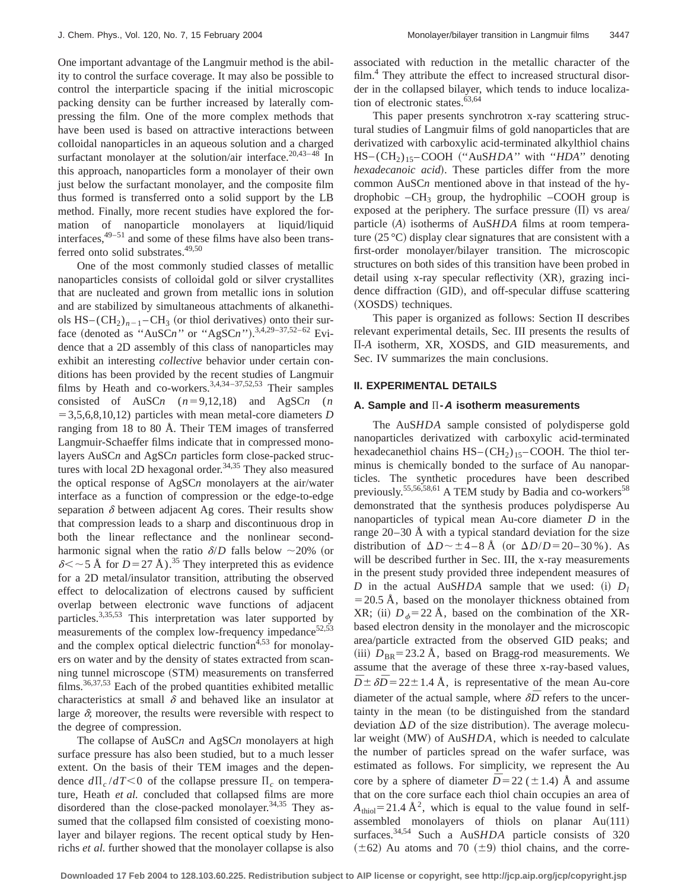One important advantage of the Langmuir method is the ability to control the surface coverage. It may also be possible to control the interparticle spacing if the initial microscopic packing density can be further increased by laterally compressing the film. One of the more complex methods that have been used is based on attractive interactions between colloidal nanoparticles in an aqueous solution and a charged surfactant monolayer at the solution/air interface.<sup>20,43-48</sup> In this approach, nanoparticles form a monolayer of their own just below the surfactant monolayer, and the composite film thus formed is transferred onto a solid support by the LB method. Finally, more recent studies have explored the formation of nanoparticle monolayers at liquid/liquid interfaces, $49-51$  and some of these films have also been transferred onto solid substrates.<sup>49,50</sup>

One of the most commonly studied classes of metallic nanoparticles consists of colloidal gold or silver crystallites that are nucleated and grown from metallic ions in solution and are stabilized by simultaneous attachments of alkanethiols  $HS - (CH_2)_{n-1} - CH_3$  (or thiol derivatives) onto their surface (denoted as "AuSCn" or "AgSCn").<sup>3,4,29–37,52–62</sup> Evidence that a 2D assembly of this class of nanoparticles may exhibit an interesting *collective* behavior under certain conditions has been provided by the recent studies of Langmuir films by Heath and co-workers.<sup>3,4,34-37,52,53</sup> Their samples consisted of AuSCn  $(n=9,12,18)$  and AgSCn  $(n=9,12,18)$  $=$  3,5,6,8,10,12) particles with mean metal-core diameters *D* ranging from 18 to 80 Å. Their TEM images of transferred Langmuir-Schaeffer films indicate that in compressed monolayers AuSC*n* and AgSC*n* particles form close-packed structures with local 2D hexagonal order. $34,35$  They also measured the optical response of AgSC*n* monolayers at the air/water interface as a function of compression or the edge-to-edge separation  $\delta$  between adjacent Ag cores. Their results show that compression leads to a sharp and discontinuous drop in both the linear reflectance and the nonlinear secondharmonic signal when the ratio  $\delta/D$  falls below  $\sim$ 20% (or  $\delta$  <  $\sim$  5 Å for *D* = 27 Å).<sup>35</sup> They interpreted this as evidence for a 2D metal/insulator transition, attributing the observed effect to delocalization of electrons caused by sufficient overlap between electronic wave functions of adjacent particles.<sup>3,35,53</sup> This interpretation was later supported by measurements of the complex low-frequency impedance<sup>52,53</sup> and the complex optical dielectric function $4,53$  for monolayers on water and by the density of states extracted from scanning tunnel microscope (STM) measurements on transferred films. $36,37,53$  Each of the probed quantities exhibited metallic characteristics at small  $\delta$  and behaved like an insulator at large  $\delta$ ; moreover, the results were reversible with respect to the degree of compression.

The collapse of AuSC*n* and AgSC*n* monolayers at high surface pressure has also been studied, but to a much lesser extent. On the basis of their TEM images and the dependence  $d\prod_{c}/dT < 0$  of the collapse pressure  $\prod_{c}$  on temperature, Heath *et al.* concluded that collapsed films are more disordered than the close-packed monolayer. $34,35$  They assumed that the collapsed film consisted of coexisting monolayer and bilayer regions. The recent optical study by Henrichs *et al.* further showed that the monolayer collapse is also associated with reduction in the metallic character of the film.<sup>4</sup> They attribute the effect to increased structural disorder in the collapsed bilayer, which tends to induce localization of electronic states. $63,64$ 

This paper presents synchrotron x-ray scattering structural studies of Langmuir films of gold nanoparticles that are derivatized with carboxylic acid-terminated alkylthiol chains HS–(CH<sub>2</sub>)<sub>15</sub>–COOH ("AuS*HDA*" with "*HDA*" denoting *hexadecanoic acid*). These particles differ from the more common AuSC*n* mentioned above in that instead of the hydrophobic  $-CH_3$  group, the hydrophilic  $-COOH$  group is exposed at the periphery. The surface pressure  $(\Pi)$  vs area/ particle (A) isotherms of AuS*HDA* films at room temperature  $(25 \degree C)$  display clear signatures that are consistent with a first-order monolayer/bilayer transition. The microscopic structures on both sides of this transition have been probed in detail using x-ray specular reflectivity  $(XR)$ , grazing incidence diffraction (GID), and off-specular diffuse scattering (XOSDS) techniques.

This paper is organized as follows: Section II describes relevant experimental details, Sec. III presents the results of )-*A* isotherm, XR, XOSDS, and GID measurements, and Sec. IV summarizes the main conclusions.

## **II. EXPERIMENTAL DETAILS**

#### **A. Sample and** )**-A isotherm measurements**

The AuS*HDA* sample consisted of polydisperse gold nanoparticles derivatized with carboxylic acid-terminated hexadecanethiol chains  $HS - (CH<sub>2</sub>)<sub>15</sub>$ –COOH. The thiol terminus is chemically bonded to the surface of Au nanoparticles. The synthetic procedures have been described previously.<sup>55,56,58,61</sup> A TEM study by Badia and co-workers<sup>58</sup> demonstrated that the synthesis produces polydisperse Au nanoparticles of typical mean Au-core diameter *D* in the range 20–30 Å with a typical standard deviation for the size distribution of  $\Delta D \sim \pm 4-8$  Å (or  $\Delta D/D = 20-30$  %). As will be described further in Sec. III, the x-ray measurements in the present study provided three independent measures of *D* in the actual AuSHDA sample that we used: (i)  $D_l$  $=$  20.5 Å, based on the monolayer thickness obtained from XR; (ii)  $D<sub>6</sub>=22$  Å, based on the combination of the XRbased electron density in the monolayer and the microscopic area/particle extracted from the observed GID peaks; and (iii)  $D_{BR}$ =23.2 Å, based on Bragg-rod measurements. We assume that the average of these three x-ray-based values,  $\overline{D} \pm \delta \overline{D}$  = 22  $\pm$  1.4 Å, is representative of the mean Au-core diameter of the actual sample, where  $\delta\bar{D}$  refers to the uncertainty in the mean (to be distinguished from the standard deviation  $\Delta D$  of the size distribution). The average molecular weight (MW) of AuS*HDA*, which is needed to calculate the number of particles spread on the wafer surface, was estimated as follows. For simplicity, we represent the Au core by a sphere of diameter  $\overline{D} = 22 (\pm 1.4)$  Å and assume that on the core surface each thiol chain occupies an area of  $A<sub>thiol</sub>=21.4 \text{ Å}^2$ , which is equal to the value found in selfassembled monolayers of thiols on planar  $Au(111)$ surfaces.34,54 Such a AuS*HDA* particle consists of 320  $(\pm 62)$  Au atoms and 70  $(\pm 9)$  thiol chains, and the corre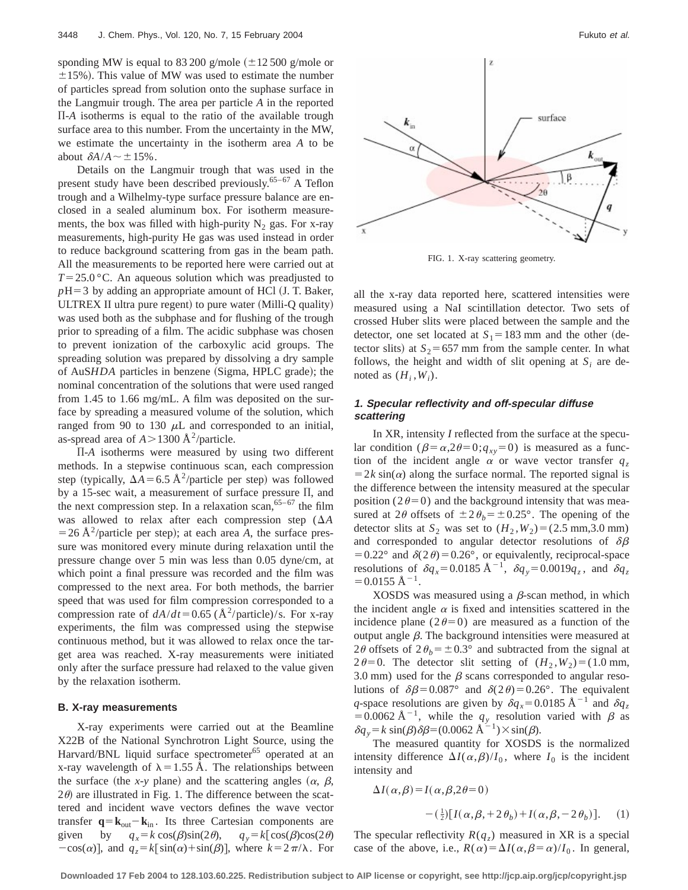sponding MW is equal to 83 200 g/mole  $(\pm 12 500$  g/mole or  $\pm$ 15%). This value of MW was used to estimate the number of particles spread from solution onto the suphase surface in the Langmuir trough. The area per particle *A* in the reported )-*A* isotherms is equal to the ratio of the available trough surface area to this number. From the uncertainty in the MW, we estimate the uncertainty in the isotherm area *A* to be about  $\delta A/A \sim \pm 15\%$ .

Details on the Langmuir trough that was used in the present study have been described previously.65–67 A Teflon trough and a Wilhelmy-type surface pressure balance are enclosed in a sealed aluminum box. For isotherm measurements, the box was filled with high-purity  $N_2$  gas. For x-ray measurements, high-purity He gas was used instead in order to reduce background scattering from gas in the beam path. All the measurements to be reported here were carried out at  $T=25.0$  °C. An aqueous solution which was preadjusted to  $pH=3$  by adding an appropriate amount of HCl (J. T. Baker, ULTREX II ultra pure regent) to pure water  $(Milli-Q$  quality) was used both as the subphase and for flushing of the trough prior to spreading of a film. The acidic subphase was chosen to prevent ionization of the carboxylic acid groups. The spreading solution was prepared by dissolving a dry sample of AuS*HDA* particles in benzene (Sigma, HPLC grade); the nominal concentration of the solutions that were used ranged from 1.45 to 1.66 mg/mL. A film was deposited on the surface by spreading a measured volume of the solution, which ranged from 90 to 130  $\mu$ L and corresponded to an initial, as-spread area of  $A > 1300 \text{ Å}^2/\text{particle}$ .

)-*A* isotherms were measured by using two different methods. In a stepwise continuous scan, each compression step (typically,  $\Delta A = 6.5 \text{ Å}^2/\text{particle per step}$ ) was followed by a 15-sec wait, a measurement of surface pressure  $\Pi$ , and the next compression step. In a relaxation scan,  $65-67$  the film was allowed to relax after each compression step  $(\Delta A)$  $=$  26 Å<sup>2</sup>/particle per step); at each area *A*, the surface pressure was monitored every minute during relaxation until the pressure change over 5 min was less than 0.05 dyne/cm, at which point a final pressure was recorded and the film was compressed to the next area. For both methods, the barrier speed that was used for film compression corresponded to a compression rate of  $dA/dt = 0.65$  ( $\AA^2$ /particle)/s. For x-ray experiments, the film was compressed using the stepwise continuous method, but it was allowed to relax once the target area was reached. X-ray measurements were initiated only after the surface pressure had relaxed to the value given by the relaxation isotherm.

#### **B. X-ray measurements**

X-ray experiments were carried out at the Beamline X22B of the National Synchrotron Light Source, using the Harvard/BNL liquid surface spectrometer<sup>65</sup> operated at an x-ray wavelength of  $\lambda = 1.55$  Å. The relationships between the surface (the *x-y* plane) and the scattering angles  $(\alpha, \beta, \beta)$  $2\theta$  are illustrated in Fig. 1. The difference between the scattered and incident wave vectors defines the wave vector transfer  $\mathbf{q} = \mathbf{k}_{out} - \mathbf{k}_{in}$ . Its three Cartesian components are given by  $q_x = k \cos(\beta) \sin(2\theta)$ ,  $q_y = k[\cos(\beta) \cos(2\theta)$  $-cos(\alpha)$ , and  $q_z = k[\sin(\alpha) + \sin(\beta)]$ , where  $k = 2\pi/\lambda$ . For



FIG. 1. X-ray scattering geometry.

all the x-ray data reported here, scattered intensities were measured using a NaI scintillation detector. Two sets of crossed Huber slits were placed between the sample and the detector, one set located at  $S_1 = 183$  mm and the other (detector slits) at  $S_2$ =657 mm from the sample center. In what follows, the height and width of slit opening at  $S_i$  are denoted as  $(H_i, W_i)$ .

# **1. Specular reflectivity and off-specular diffuse scattering**

In XR, intensity *I* reflected from the surface at the specular condition ( $\beta = \alpha,2\theta=0; q_{xy}=0$ ) is measured as a function of the incident angle  $\alpha$  or wave vector transfer  $q_z$  $=2k \sin(\alpha)$  along the surface normal. The reported signal is the difference between the intensity measured at the specular position ( $2\theta=0$ ) and the background intensity that was measured at 2 $\theta$  offsets of  $\pm 2\theta_b = \pm 0.25^\circ$ . The opening of the detector slits at  $S_2$  was set to  $(H_2, W_2) = (2.5 \text{ mm}, 3.0 \text{ mm})$ and corresponded to angular detector resolutions of  $\delta\beta$ =  $0.22^{\circ}$  and  $\delta(2\theta)$  =  $0.26^{\circ}$ , or equivalently, reciprocal-space resolutions of  $\delta q_x = 0.0185 \text{ Å}^{-1}$ ,  $\delta q_y = 0.0019 q_z$ , and  $\delta q_z$  $=0.0155$  Å<sup>-1</sup>.

XOSDS was measured using a  $\beta$ -scan method, in which the incident angle  $\alpha$  is fixed and intensities scattered in the incidence plane ( $2\theta=0$ ) are measured as a function of the output angle  $\beta$ . The background intensities were measured at 2 $\theta$  offsets of  $2\theta_b = \pm 0.3^\circ$  and subtracted from the signal at  $2\theta=0$ . The detector slit setting of  $(H_2, W_2)=(1.0 \text{ mm})$ , 3.0 mm) used for the  $\beta$  scans corresponded to angular resolutions of  $\delta\beta$ =0.087° and  $\delta(2\theta)$ =0.26°. The equivalent *q*-space resolutions are given by  $\delta q_x = 0.0185 \text{ Å}^{-1}$  and  $\delta q_z$ =0.0062 Å<sup>-1</sup>, while the  $q_y$  resolution varied with  $\beta$  as  $\delta q_y = k \sin(\beta) \delta \beta = (0.0062 \text{ Å}^{-1}) \times \sin(\beta).$ 

The measured quantity for XOSDS is the normalized intensity difference  $\Delta I(\alpha,\beta)/I_0$ , where  $I_0$  is the incident intensity and

$$
\Delta I(\alpha, \beta) = I(\alpha, \beta, 2\theta = 0)
$$

$$
- \left(\frac{1}{2}\right)[I(\alpha, \beta, +2\theta_b) + I(\alpha, \beta, -2\theta_b)]. \quad (1)
$$

The specular reflectivity  $R(q_z)$  measured in XR is a special case of the above, i.e.,  $R(\alpha) = \Delta I(\alpha, \beta = \alpha)/I_0$ . In general,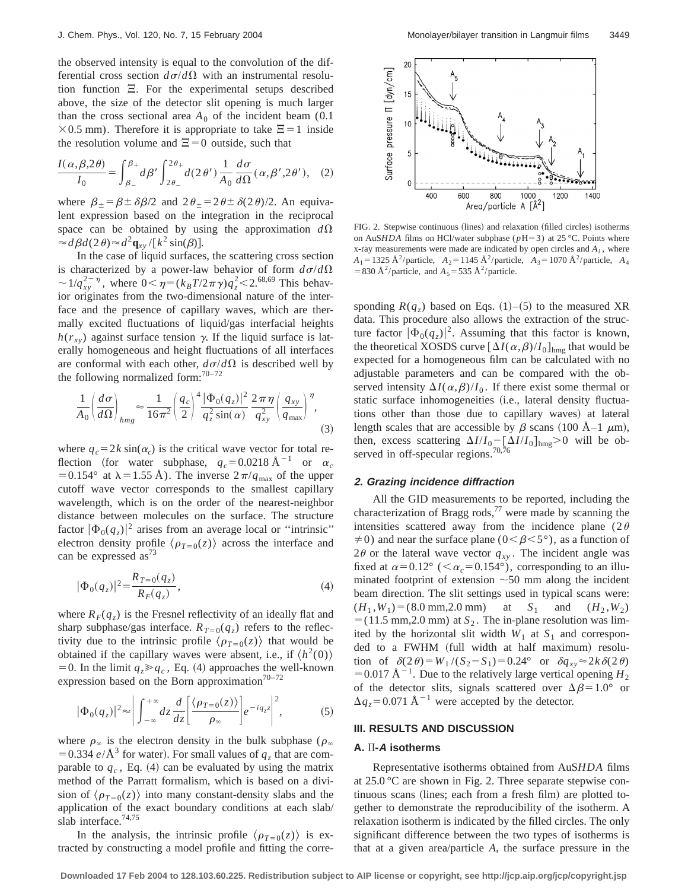the observed intensity is equal to the convolution of the differential cross section  $d\sigma/d\Omega$  with an instrumental resolution function  $\Xi$ . For the experimental setups described above, the size of the detector slit opening is much larger than the cross sectional area  $A_0$  of the incident beam (0.1)  $\times$ 0.5 mm). Therefore it is appropriate to take  $\Xi$  = 1 inside the resolution volume and  $\Xi=0$  outside, such that

$$
\frac{I(\alpha,\beta,2\theta)}{I_0} = \int_{\beta_-}^{\beta_+} d\beta' \int_{2\theta_-}^{2\theta_+} d(2\theta') \frac{1}{A_0} \frac{d\sigma}{d\Omega}(\alpha,\beta',2\theta'), \quad (2)
$$

where  $\beta_{\pm} = \beta \pm \delta \beta/2$  and  $2\theta_{\pm} = 2\theta \pm \delta(2\theta)/2$ . An equivalent expression based on the integration in the reciprocal space can be obtained by using the approximation  $d\Omega$  $\approx d\beta d(2\theta) \approx d^2 \mathbf{q}_{xy} / [k^2 \sin(\beta)].$ 

In the case of liquid surfaces, the scattering cross section is characterized by a power-law behavior of form  $d\sigma/d\Omega$  $\sim 1/q_{xy}^{2-\eta}$ , where  $0 < \eta = (k_B T/2\pi \gamma)q_z^2 < 2.^{68,69}$  This behavior originates from the two-dimensional nature of the interface and the presence of capillary waves, which are thermally excited fluctuations of liquid/gas interfacial heights  $h(r_{xy})$  against surface tension  $\gamma$ . If the liquid surface is laterally homogeneous and height fluctuations of all interfaces are conformal with each other,  $d\sigma/d\Omega$  is described well by the following normalized form: $70-72$ 

$$
\frac{1}{A_0} \left( \frac{d\sigma}{d\Omega} \right)_{hmg} \approx \frac{1}{16\pi^2} \left( \frac{q_c}{2} \right)^4 \frac{|\Phi_0(q_z)|^2}{q_z^2 \sin(\alpha)} \frac{2\pi\eta}{q_{xy}^2} \left( \frac{q_{xy}}{q_{\text{max}}} \right)^{\eta},\tag{3}
$$

where  $q_c = 2k \sin(\alpha_c)$  is the critical wave vector for total reflection (for water subphase,  $q_c=0.0218 \text{ Å}^{-1}$  or  $\alpha_c$ = 0.154° at  $\lambda$  = 1.55 Å). The inverse  $2\pi/q_{\text{max}}$  of the upper cutoff wave vector corresponds to the smallest capillary wavelength, which is on the order of the nearest-neighbor distance between molecules on the surface. The structure factor  $|\Phi_0(q_z)|^2$  arises from an average local or "intrinsic" electron density profile  $\langle \rho_{T=0}(z) \rangle$  across the interface and can be expressed  $as^{73}$ 

$$
|\Phi_0(q_z)|^2 = \frac{R_{T=0}(q_z)}{R_F(q_z)},
$$
\n(4)

where  $R_F(q_z)$  is the Fresnel reflectivity of an ideally flat and sharp subphase/gas interface.  $R_{T=0}(q_z)$  refers to the reflectivity due to the intrinsic profile  $\langle \rho_{T=0}(z) \rangle$  that would be obtained if the capillary waves were absent, i.e., if  $\langle h^2(0)\rangle$ = 0. In the limit  $q_z \geqslant q_c$ , Eq. (4) approaches the well-known expression based on the Born approximation<sup>70–72</sup>

$$
|\Phi_0(q_z)|^2 \approx \left| \int_{-\infty}^{+\infty} dz \frac{d}{dz} \left[ \frac{\langle \rho_{T=0}(z) \rangle}{\rho_{\infty}} \right] e^{-iq_z z} \right|^2, \tag{5}
$$

where  $\rho_{\infty}$  is the electron density in the bulk subphase ( $\rho_{\infty}$ ) = 0.334  $e/\text{\AA}^3$  for water). For small values of  $q_z$  that are comparable to  $q_c$ , Eq. (4) can be evaluated by using the matrix method of the Parratt formalism, which is based on a division of  $\langle \rho_{T=0}(z) \rangle$  into many constant-density slabs and the application of the exact boundary conditions at each slab/ slab interface.<sup>74,75</sup>

In the analysis, the intrinsic profile  $\langle \rho_{T=0}(z) \rangle$  is extracted by constructing a model profile and fitting the corre-



FIG. 2. Stepwise continuous (lines) and relaxation (filled circles) isotherms on AuS*HDA* films on HCl/water subphase ( $p$ H=3) at 25 °C. Points where x-ray measurements were made are indicated by open circles and *Ai* , where  $A_1 = 1325 \text{ Å}^2/\text{particle}, A_2 = 1145 \text{ Å}^2/\text{particle}, A_3 = 1070 \text{ Å}^2/\text{particle}, A_4$ = 830 Å<sup>2</sup>/particle, and  $A_5$ = 535 Å<sup>2</sup>/particle.

sponding  $R(q_z)$  based on Eqs. (1)–(5) to the measured XR data. This procedure also allows the extraction of the structure factor  $|\Phi_0(q_z)|^2$ . Assuming that this factor is known, the theoretical XOSDS curve  $[\Delta I(\alpha,\beta)/I_0]_{\text{hmg}}$  that would be expected for a homogeneous film can be calculated with no adjustable parameters and can be compared with the observed intensity  $\Delta I(\alpha,\beta)/I_0$ . If there exist some thermal or static surface inhomogeneities (i.e., lateral density fluctuations other than those due to capillary waves) at lateral length scales that are accessible by  $\beta$  scans (100 Å–1  $\mu$ m), then, excess scattering  $\Delta I/I_0 - [\Delta I/I_0]_{\text{hmg}} > 0$  will be observed in off-specular regions.<sup>70,76</sup>

#### **2. Grazing incidence diffraction**

All the GID measurements to be reported, including the characterization of Bragg rods,<sup>77</sup> were made by scanning the intensities scattered away from the incidence plane (2 $\theta$ )  $\neq$ 0) and near the surface plane (0< $\beta$ <5°), as a function of  $2\theta$  or the lateral wave vector  $q_{xy}$ . The incident angle was fixed at  $\alpha$ =0.12° (< $\alpha_c$ =0.154°), corresponding to an illuminated footprint of extension  $\sim$  50 mm along the incident beam direction. The slit settings used in typical scans were:  $(H_1, W_1) = (8.0 \text{ mm}, 2.0 \text{ mm})$  at  $S_1$  and  $(H_2, W_2)$  $=$  (11.5 mm,2.0 mm) at  $S_2$ . The in-plane resolution was limited by the horizontal slit width  $W_1$  at  $S_1$  and corresponded to a FWHM (full width at half maximum) resolution of  $\delta(2\theta) = W_1 / (S_2 - S_1) = 0.24$ ° or  $\delta q_{xy} \approx 2k \delta(2\theta)$  $=0.017 \text{ Å}^{-1}$ . Due to the relatively large vertical opening *H*<sub>2</sub> of the detector slits, signals scattered over  $\Delta\beta=1.0^{\circ}$  or  $\Delta q_z = 0.071 \text{ Å}^{-1}$  were accepted by the detector.

### **III. RESULTS AND DISCUSSION**

## **A.** )**-A isotherms**

Representative isotherms obtained from AuS*HDA* films at 25.0 °C are shown in Fig. 2. Three separate stepwise continuous scans (lines; each from a fresh film) are plotted together to demonstrate the reproducibility of the isotherm. A relaxation isotherm is indicated by the filled circles. The only significant difference between the two types of isotherms is that at a given area/particle *A*, the surface pressure in the

**Downloaded 17 Feb 2004 to 128.103.60.225. Redistribution subject to AIP license or copyright, see http://jcp.aip.org/jcp/copyright.jsp**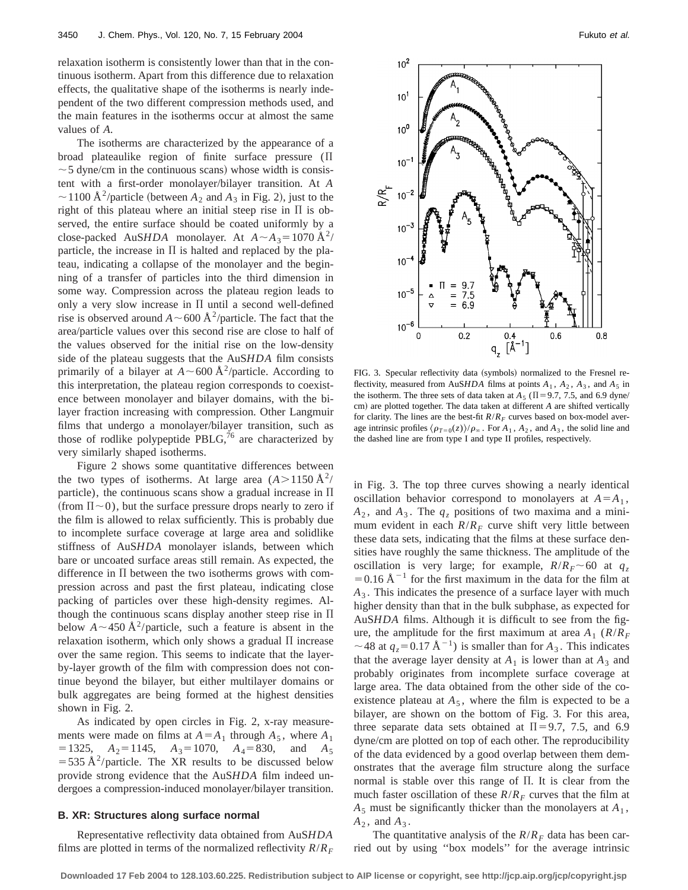relaxation isotherm is consistently lower than that in the continuous isotherm. Apart from this difference due to relaxation effects, the qualitative shape of the isotherms is nearly independent of the two different compression methods used, and the main features in the isotherms occur at almost the same values of *A*.

The isotherms are characterized by the appearance of a broad plateaulike region of finite surface pressure  $(\Pi)$  $\sim$  5 dyne/cm in the continuous scans) whose width is consistent with a first-order monolayer/bilayer transition. At *A*  $\sim$  1100 Å<sup>2</sup>/particle (between  $A_2$  and  $A_3$  in Fig. 2), just to the right of this plateau where an initial steep rise in  $\Pi$  is observed, the entire surface should be coated uniformly by a close-packed AuS*HDA* monolayer. At  $A \sim A_3 = 1070 \text{ Å}^2$ / particle, the increase in  $\Pi$  is halted and replaced by the plateau, indicating a collapse of the monolayer and the beginning of a transfer of particles into the third dimension in some way. Compression across the plateau region leads to only a very slow increase in  $\Pi$  until a second well-defined rise is observed around  $A \sim 600 \text{ Å}^2/\text{particle}$ . The fact that the area/particle values over this second rise are close to half of the values observed for the initial rise on the low-density side of the plateau suggests that the AuS*HDA* film consists primarily of a bilayer at  $A \sim 600 \text{ Å}^2/\text{particle}$ . According to this interpretation, the plateau region corresponds to coexistence between monolayer and bilayer domains, with the bilayer fraction increasing with compression. Other Langmuir films that undergo a monolayer/bilayer transition, such as those of rodlike polypeptide PBLG, $^{76}$  are characterized by very similarly shaped isotherms.

Figure 2 shows some quantitative differences between the two types of isotherms. At large area  $(A > 1150 \text{ A}^2$ / particle), the continuous scans show a gradual increase in  $\Pi$ (from  $\Pi \sim 0$ ), but the surface pressure drops nearly to zero if the film is allowed to relax sufficiently. This is probably due to incomplete surface coverage at large area and solidlike stiffness of AuS*HDA* monolayer islands, between which bare or uncoated surface areas still remain. As expected, the difference in  $\Pi$  between the two isotherms grows with compression across and past the first plateau, indicating close packing of particles over these high-density regimes. Although the continuous scans display another steep rise in  $\Pi$ below  $A \sim 450 \text{ Å}^2/\text{particle}$ , such a feature is absent in the relaxation isotherm, which only shows a gradual  $\Pi$  increase over the same region. This seems to indicate that the layerby-layer growth of the film with compression does not continue beyond the bilayer, but either multilayer domains or bulk aggregates are being formed at the highest densities shown in Fig. 2.

As indicated by open circles in Fig. 2, x-ray measurements were made on films at  $A = A_1$  through  $A_5$ , where  $A_1$  $=$  1325, *A*<sub>2</sub> = 1145, *A*<sub>3</sub> = 1070, *A*<sub>4</sub> = 830, and *A*<sub>5</sub>  $=$  535 Å<sup>2</sup>/particle. The XR results to be discussed below provide strong evidence that the AuS*HDA* film indeed undergoes a compression-induced monolayer/bilayer transition.

# **B. XR: Structures along surface normal**

Representative reflectivity data obtained from AuS*HDA* films are plotted in terms of the normalized reflectivity  $R/R_F$ 



FIG. 3. Specular reflectivity data (symbols) normalized to the Fresnel reflectivity, measured from AuSHDA films at points  $A_1$ ,  $A_2$ ,  $A_3$ , and  $A_5$  in the isotherm. The three sets of data taken at  $A_5$  ( $\Pi$ =9.7, 7.5, and 6.9 dyne/ cm) are plotted together. The data taken at different *A* are shifted vertically for clarity. The lines are the best-fit  $R/R<sub>F</sub>$  curves based on box-model average intrinsic profiles  $\langle \rho_{T=0}(z) \rangle / \rho_{\infty}$ . For  $A_1$ ,  $A_2$ , and  $A_3$ , the solid line and the dashed line are from type I and type II profiles, respectively.

in Fig. 3. The top three curves showing a nearly identical oscillation behavior correspond to monolayers at  $A = A_1$ ,  $A_2$ , and  $A_3$ . The  $q_z$  positions of two maxima and a minimum evident in each  $R/R_F$  curve shift very little between these data sets, indicating that the films at these surface densities have roughly the same thickness. The amplitude of the oscillation is very large; for example,  $R/R<sub>F</sub> \sim 60$  at  $q<sub>z</sub>$  $=0.16$  Å<sup>-1</sup> for the first maximum in the data for the film at *A*<sup>3</sup> . This indicates the presence of a surface layer with much higher density than that in the bulk subphase, as expected for AuS*HDA* films. Although it is difficult to see from the figure, the amplitude for the first maximum at area  $A_1$  ( $R/R_F$  $\sim$  48 at  $q_z$ = 0.17 Å<sup>-1</sup>) is smaller than for  $A_3$ . This indicates that the average layer density at  $A_1$  is lower than at  $A_3$  and probably originates from incomplete surface coverage at large area. The data obtained from the other side of the coexistence plateau at  $A_5$ , where the film is expected to be a bilayer, are shown on the bottom of Fig. 3. For this area, three separate data sets obtained at  $\Pi$ =9.7, 7.5, and 6.9 dyne/cm are plotted on top of each other. The reproducibility of the data evidenced by a good overlap between them demonstrates that the average film structure along the surface normal is stable over this range of  $\Pi$ . It is clear from the much faster oscillation of these  $R/R_F$  curves that the film at  $A_5$  must be significantly thicker than the monolayers at  $A_1$ ,  $A_2$ , and  $A_3$ .

The quantitative analysis of the  $R/R_F$  data has been carried out by using ''box models'' for the average intrinsic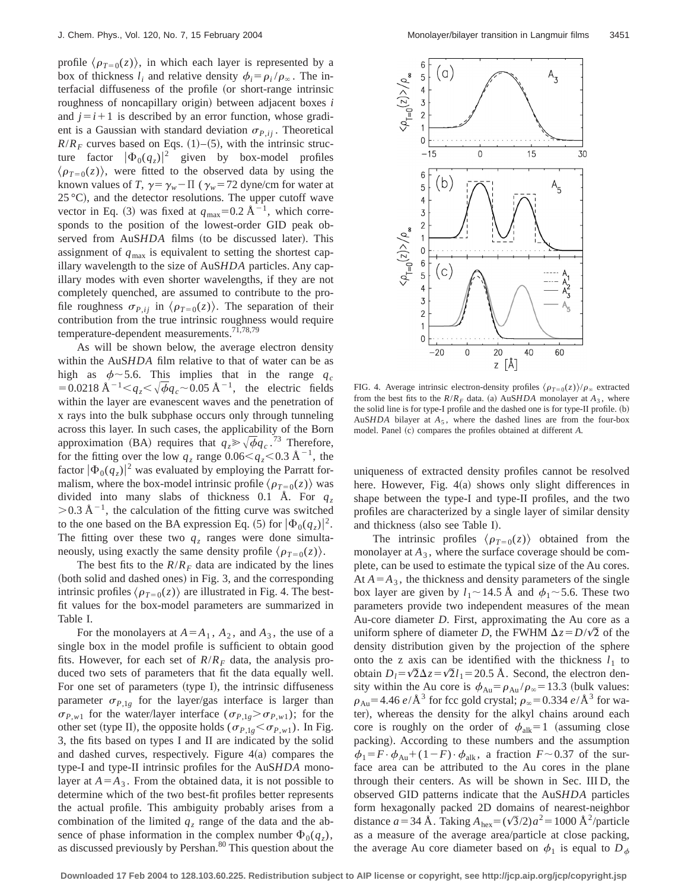profile  $\langle \rho_{T=0}(z) \rangle$ , in which each layer is represented by a box of thickness  $l_i$  and relative density  $\phi_i = \rho_i / \rho_{\infty}$ . The interfacial diffuseness of the profile (or short-range intrinsic roughness of noncapillary origin) between adjacent boxes *i* and  $j=i+1$  is described by an error function, whose gradient is a Gaussian with standard deviation  $\sigma_{P,ij}$ . Theoretical  $R/R_F$  curves based on Eqs. (1)–(5), with the intrinsic structure factor  $|\Phi_0(q_z)|^2$  given by box-model profiles  $\langle \rho_{T=0}(z) \rangle$ , were fitted to the observed data by using the known values of *T*,  $\gamma = \gamma_w - \Pi$  ( $\gamma_w = 72$  dyne/cm for water at  $25^{\circ}$ C), and the detector resolutions. The upper cutoff wave vector in Eq. (3) was fixed at  $q_{\text{max}}=0.2 \text{ Å}^{-1}$ , which corresponds to the position of the lowest-order GID peak observed from AuSHDA films (to be discussed later). This assignment of  $q_{\text{max}}$  is equivalent to setting the shortest capillary wavelength to the size of AuS*HDA* particles. Any capillary modes with even shorter wavelengths, if they are not completely quenched, are assumed to contribute to the profile roughness  $\sigma_{P,ij}$  in  $\langle \rho_{T=0}(z) \rangle$ . The separation of their contribution from the true intrinsic roughness would require temperature-dependent measurements.71,78,79

As will be shown below, the average electron density within the AuS*HDA* film relative to that of water can be as high as  $\phi \sim 5.6$ . This implies that in the range  $q_c$  $=0.0218 \text{ Å}^{-1} \leq q_z \leq \sqrt{\phi} q_c \approx 0.05 \text{ Å}^{-1}$ , the electric fields within the layer are evanescent waves and the penetration of x rays into the bulk subphase occurs only through tunneling across this layer. In such cases, the applicability of the Born approximation (BA) requires that  $q_z \gg \sqrt{\phi} q_c$ .<sup>73</sup> Therefore, for the fitting over the low  $q_z$  range  $0.06 \leq q_z \leq 0.3 \text{ Å}^{-1}$ , the factor  $|\Phi_0(q_z)|^2$  was evaluated by employing the Parratt formalism, where the box-model intrinsic profile  $\langle \rho_{T=0}(z) \rangle$  was divided into many slabs of thickness 0.1 Å. For  $q_z$  $>$ 0.3 Å<sup>-1</sup>, the calculation of the fitting curve was switched to the one based on the BA expression Eq. (5) for  $|\Phi_0(q_z)|^2$ . The fitting over these two  $q<sub>z</sub>$  ranges were done simultaneously, using exactly the same density profile  $\langle \rho_{T=0}(z) \rangle$ .

The best fits to the  $R/R_F$  data are indicated by the lines (both solid and dashed ones) in Fig. 3, and the corresponding intrinsic profiles  $\langle \rho_{T=0}(z) \rangle$  are illustrated in Fig. 4. The bestfit values for the box-model parameters are summarized in Table I.

For the monolayers at  $A = A_1$ ,  $A_2$ , and  $A_3$ , the use of a single box in the model profile is sufficient to obtain good fits. However, for each set of  $R/R_F$  data, the analysis produced two sets of parameters that fit the data equally well. For one set of parameters (type I), the intrinsic diffuseness parameter  $\sigma_{P,1g}$  for the layer/gas interface is larger than  $\sigma_{P,w1}$  for the water/layer interface ( $\sigma_{P,1g} > \sigma_{P,w1}$ ); for the other set (type II), the opposite holds ( $\sigma_{P,1g} < \sigma_{P,w1}$ ). In Fig. 3, the fits based on types I and II are indicated by the solid and dashed curves, respectively. Figure  $4(a)$  compares the type-I and type-II intrinsic profiles for the AuS*HDA* monolayer at  $A = A_3$ . From the obtained data, it is not possible to determine which of the two best-fit profiles better represents the actual profile. This ambiguity probably arises from a combination of the limited  $q<sub>z</sub>$  range of the data and the absence of phase information in the complex number  $\Phi_0(q_z)$ , as discussed previously by Pershan. $80$  This question about the



FIG. 4. Average intrinsic electron-density profiles  $\langle \rho_{T=0}(z) \rangle / \rho_{\infty}$  extracted from the best fits to the  $R/R_F$  data. (a) AuS*HDA* monolayer at  $A_3$ , where the solid line is for type-I profile and the dashed one is for type-II profile.  $(b)$ AuS*HDA* bilayer at  $A_5$ , where the dashed lines are from the four-box model. Panel (c) compares the profiles obtained at different *A*.

uniqueness of extracted density profiles cannot be resolved here. However, Fig.  $4(a)$  shows only slight differences in shape between the type-I and type-II profiles, and the two profiles are characterized by a single layer of similar density and thickness (also see Table I).

The intrinsic profiles  $\langle \rho_{T=0}(z) \rangle$  obtained from the monolayer at  $A_3$ , where the surface coverage should be complete, can be used to estimate the typical size of the Au cores. At  $A = A_3$ , the thickness and density parameters of the single box layer are given by  $l_1 \sim 14.5$  Å and  $\phi_1 \sim 5.6$ . These two parameters provide two independent measures of the mean Au-core diameter *D*. First, approximating the Au core as a uniform sphere of diameter *D*, the FWHM  $\Delta z = D/\sqrt{2}$  of the density distribution given by the projection of the sphere onto the z axis can be identified with the thickness  $l_1$  to obtain  $D_l = \sqrt{2} \Delta z = \sqrt{2} l_1 = 20.5$  Å. Second, the electron density within the Au core is  $\phi_{Au} = \rho_{Au} / \rho_{\infty} = 13.3$  (bulk values:  $\rho_{\text{Au}}$  = 4.46 *e*/Å<sup>3</sup> for fcc gold crystal;  $\rho_{\infty}$  = 0.334 *e*/Å<sup>3</sup> for water), whereas the density for the alkyl chains around each core is roughly on the order of  $\phi_{\text{alk}}=1$  (assuming close packing). According to these numbers and the assumption  $\phi_1 = F \cdot \phi_{\text{Au}} + (1 - F) \cdot \phi_{\text{alk}}$ , a fraction  $F \sim 0.37$  of the surface area can be attributed to the Au cores in the plane through their centers. As will be shown in Sec. III D, the observed GID patterns indicate that the AuS*HDA* particles form hexagonally packed 2D domains of nearest-neighbor distance  $a=34$  Å. Taking  $A_{\text{hex}}=(\sqrt{3}/2)a^2=1000$  Å<sup>2</sup>/particle as a measure of the average area/particle at close packing, the average Au core diameter based on  $\phi_1$  is equal to  $D_{\phi}$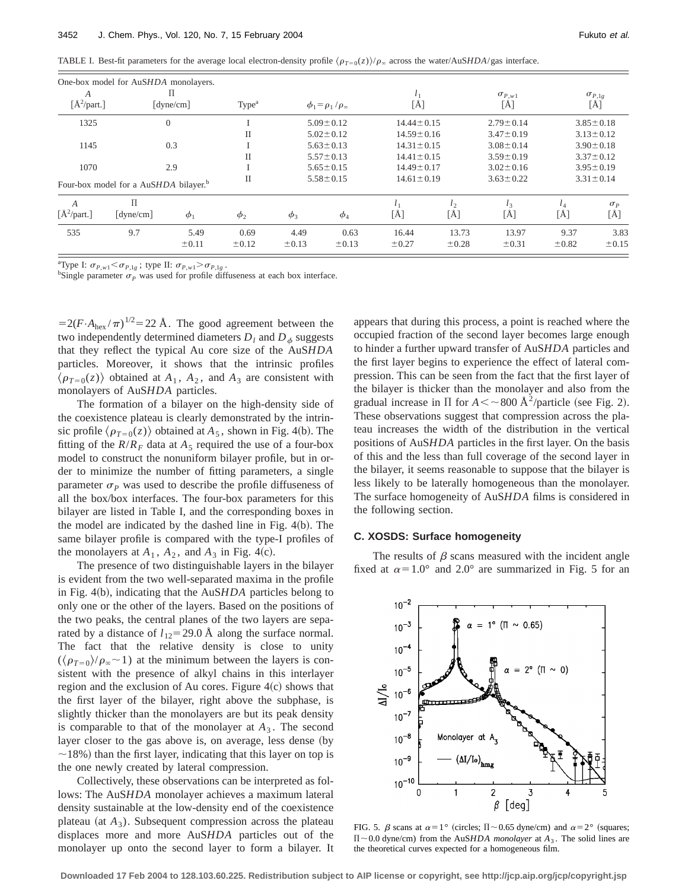TABLE I. Best-fit parameters for the average local electron-density profile  $\langle \rho_{T=0}(z) \rangle / \rho_{\infty}$  across the water/AuS*HDA*/gas interface.

|                  | One-box model for AuSHDA monolayers.              |                  |                    |                    |                                 |                     |                     |                                            |                    |                                                      |
|------------------|---------------------------------------------------|------------------|--------------------|--------------------|---------------------------------|---------------------|---------------------|--------------------------------------------|--------------------|------------------------------------------------------|
| А                |                                                   |                  |                    |                    |                                 |                     |                     |                                            |                    |                                                      |
| $[A^2$ /part.]   |                                                   | [dyne/cm]        | Type <sup>a</sup>  |                    | $\phi_1 = \rho_1 / \rho_\infty$ | [Å]                 |                     | $\sigma_{P,w1} \brack [\mathring{\rm{A}}]$ |                    | $\sigma_{\substack{P,1g\\ \left[\text{\AA}\right]}}$ |
| 1325             |                                                   | $\boldsymbol{0}$ |                    |                    | $5.09 \pm 0.12$                 | $14.44 \pm 0.15$    |                     | $2.79 \pm 0.14$                            |                    | $3.85 \pm 0.18$                                      |
|                  |                                                   |                  | П                  |                    | $5.02 \pm 0.12$                 | $14.59 \pm 0.16$    |                     | $3.47 \pm 0.19$                            |                    | $3.13 \pm 0.12$                                      |
| 1145             | 0.3                                               |                  |                    | $5.63 \pm 0.13$    |                                 | $14.31 \pm 0.15$    |                     | $3.08 \pm 0.14$                            | $3.90 \pm 0.18$    |                                                      |
|                  |                                                   |                  | П                  |                    | $5.57 \pm 0.13$                 | $14.41 \pm 0.15$    |                     | $3.59 \pm 0.19$                            |                    | $3.37 \pm 0.12$                                      |
| 1070<br>2.9      |                                                   |                  |                    | $5.65 \pm 0.15$    |                                 | $14.49 \pm 0.17$    |                     | $3.02 \pm 0.16$                            | $3.95 \pm 0.19$    |                                                      |
|                  | Four-box model for a AuSHDA bilayer. <sup>b</sup> |                  | П                  |                    | $5.58 \pm 0.15$                 | $14.61 \pm 0.19$    |                     | $3.63 \pm 0.22$                            |                    | $3.31 \pm 0.14$                                      |
| $\boldsymbol{A}$ | П                                                 |                  |                    |                    |                                 |                     | $l_{2}$             |                                            |                    | $\sigma_{P}$                                         |
| $[A^2$ /part.]   | $\lceil$ dyne/cm $\rceil$                         | $\phi_1$         | $\phi_2$           | $\phi_3$           | $\phi_4$                        | [Å]                 | [Å]                 | [Å]                                        | [Å]                | [Å]                                                  |
| 535              | 9.7                                               | 5.49<br>±0.11    | 0.69<br>$\pm 0.12$ | 4.49<br>$\pm 0.13$ | 0.63<br>$\pm 0.13$              | 16.44<br>$\pm 0.27$ | 13.73<br>$\pm 0.28$ | 13.97<br>$\pm 0.31$                        | 9.37<br>$\pm 0.82$ | 3.83<br>$\pm 0.15$                                   |

<sup>a</sup>Type I:  $\sigma_{P,w1} < \sigma_{P,1g}$ ; type II:  $\sigma_{P,w1} > \sigma_{P,1g}$ .

<sup>b</sup>Single parameter  $\sigma_p$  was used for profile diffuseness at each box interface.

 $=2(F \cdot A_{\text{hex}}/\pi)^{1/2}=22 \text{ Å}$ . The good agreement between the two independently determined diameters  $D_l$  and  $D_\phi$  suggests that they reflect the typical Au core size of the AuS*HDA* particles. Moreover, it shows that the intrinsic profiles  $\langle \rho_{T=0}(z) \rangle$  obtained at  $A_1$ ,  $A_2$ , and  $A_3$  are consistent with monolayers of AuS*HDA* particles.

The formation of a bilayer on the high-density side of the coexistence plateau is clearly demonstrated by the intrinsic profile  $\langle \rho_{T=0}(z) \rangle$  obtained at  $A_5$ , shown in Fig. 4(b). The fitting of the  $R/R_F$  data at  $A_5$  required the use of a four-box model to construct the nonuniform bilayer profile, but in order to minimize the number of fitting parameters, a single parameter  $\sigma_p$  was used to describe the profile diffuseness of all the box/box interfaces. The four-box parameters for this bilayer are listed in Table I, and the corresponding boxes in the model are indicated by the dashed line in Fig.  $4(b)$ . The same bilayer profile is compared with the type-I profiles of the monolayers at  $A_1$ ,  $A_2$ , and  $A_3$  in Fig. 4(c).

The presence of two distinguishable layers in the bilayer is evident from the two well-separated maxima in the profile in Fig. 4(b), indicating that the AuS*HDA* particles belong to only one or the other of the layers. Based on the positions of the two peaks, the central planes of the two layers are separated by a distance of  $l_{12}$ =29.0 Å along the surface normal. The fact that the relative density is close to unity  $(\langle \rho_{T=0} \rangle / \rho_{\infty} \sim 1)$  at the minimum between the layers is consistent with the presence of alkyl chains in this interlayer region and the exclusion of Au cores. Figure  $4(c)$  shows that the first layer of the bilayer, right above the subphase, is slightly thicker than the monolayers are but its peak density is comparable to that of the monolayer at  $A_3$ . The second layer closer to the gas above is, on average, less dense (by  $\sim$ 18%) than the first layer, indicating that this layer on top is the one newly created by lateral compression.

Collectively, these observations can be interpreted as follows: The AuS*HDA* monolayer achieves a maximum lateral density sustainable at the low-density end of the coexistence plateau (at  $A_3$ ). Subsequent compression across the plateau displaces more and more AuS*HDA* particles out of the monolayer up onto the second layer to form a bilayer. It appears that during this process, a point is reached where the occupied fraction of the second layer becomes large enough to hinder a further upward transfer of AuS*HDA* particles and the first layer begins to experience the effect of lateral compression. This can be seen from the fact that the first layer of the bilayer is thicker than the monolayer and also from the gradual increase in  $\Pi$  for  $A \leq \sim 800 \text{ Å}^2/\text{particle}$  (see Fig. 2). These observations suggest that compression across the plateau increases the width of the distribution in the vertical positions of AuS*HDA* particles in the first layer. On the basis of this and the less than full coverage of the second layer in the bilayer, it seems reasonable to suppose that the bilayer is less likely to be laterally homogeneous than the monolayer. The surface homogeneity of AuS*HDA* films is considered in the following section.

## **C. XOSDS: Surface homogeneity**

The results of  $\beta$  scans measured with the incident angle fixed at  $\alpha=1.0^{\circ}$  and  $2.0^{\circ}$  are summarized in Fig. 5 for an



FIG. 5.  $\beta$  scans at  $\alpha=1^\circ$  (circles;  $\Pi \sim 0.65$  dyne/cm) and  $\alpha=2^\circ$  (squares;  $\Pi$  ~0.0 dyne/cm) from the AuS*HDA monolayer* at  $A_3$ . The solid lines are the theoretical curves expected for a homogeneous film.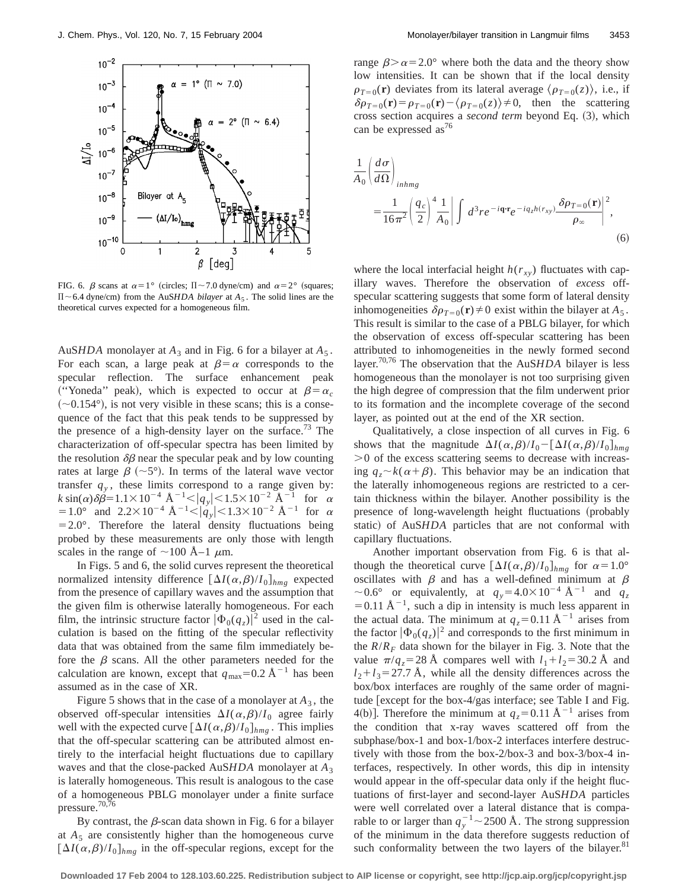

FIG. 6.  $\beta$  scans at  $\alpha=1^{\circ}$  (circles;  $\Pi \sim 7.0$  dyne/cm) and  $\alpha=2^{\circ}$  (squares;  $\Pi$  ~6.4 dyne/cm) from the AuS*HDA bilayer* at  $A_5$ . The solid lines are the theoretical curves expected for a homogeneous film.

AuS*HDA* monolayer at  $A_3$  and in Fig. 6 for a bilayer at  $A_5$ . For each scan, a large peak at  $\beta = \alpha$  corresponds to the specular reflection. The surface enhancement peak ("Yoneda" peak), which is expected to occur at  $\beta = \alpha_c$  $(\sim 0.154^{\circ})$ , is not very visible in these scans; this is a consequence of the fact that this peak tends to be suppressed by the presence of a high-density layer on the surface.<sup>73</sup> The characterization of off-specular spectra has been limited by the resolution  $\delta\beta$  near the specular peak and by low counting rates at large  $\beta$  (~5°). In terms of the lateral wave vector transfer  $q<sub>y</sub>$ , these limits correspond to a range given by:  $k \sin(\alpha) \delta \beta = 1.1 \times 10^{-4} \text{ \AA}^{-1} \le |q_y| \le 1.5 \times 10^{-2} \text{ \AA}^{-1} \text{ for } \alpha$  $=1.0^{\circ}$  and  $2.2\times10^{-4}$   $\text{\AA}^{-1}$  <  $|\dot{q}_y|$  < 1.3 × 10<sup>-2</sup> Å<sup>-1</sup> for  $\alpha$  $=2.0^{\circ}$ . Therefore the lateral density fluctuations being probed by these measurements are only those with length scales in the range of  $\sim$ 100 Å–1  $\mu$ m.

In Figs. 5 and 6, the solid curves represent the theoretical normalized intensity difference  $[\Delta I(\alpha,\beta)/I_0]_{hmg}$  expected from the presence of capillary waves and the assumption that the given film is otherwise laterally homogeneous. For each film, the intrinsic structure factor  $|\Phi_0(q_z)|^2$  used in the calculation is based on the fitting of the specular reflectivity data that was obtained from the same film immediately before the  $\beta$  scans. All the other parameters needed for the calculation are known, except that  $q_{\text{max}}=0.2 \text{ Å}^{-1}$  has been assumed as in the case of XR.

Figure 5 shows that in the case of a monolayer at  $A_3$ , the observed off-specular intensities  $\Delta I(\alpha,\beta)/I_0$  agree fairly well with the expected curve  $\left[\Delta I(\alpha,\beta)/I_0\right]_{hmg}$ . This implies that the off-specular scattering can be attributed almost entirely to the interfacial height fluctuations due to capillary waves and that the close-packed AuS*HDA* monolayer at *A*<sup>3</sup> is laterally homogeneous. This result is analogous to the case of a homogeneous PBLG monolayer under a finite surface pressure.<sup>70,76</sup>

By contrast, the  $\beta$ -scan data shown in Fig. 6 for a bilayer at  $A_5$  are consistently higher than the homogeneous curve  $\left[\Delta I(\alpha,\beta)/I_0\right]_{hmg}$  in the off-specular regions, except for the range  $\beta > \alpha = 2.0^{\circ}$  where both the data and the theory show low intensities. It can be shown that if the local density  $\rho_{T=0}(\mathbf{r})$  deviates from its lateral average  $\langle \rho_{T=0}(z) \rangle$ , i.e., if  $\delta \rho_{T=0}(\mathbf{r}) = \rho_{T=0}(\mathbf{r}) - \langle \rho_{T=0}(z) \rangle \neq 0$ , then the scattering cross section acquires a *second term* beyond Eq. (3), which can be expressed as<sup>76</sup>

$$
\frac{1}{A_0} \left( \frac{d\sigma}{d\Omega} \right)_{in hmg} \n= \frac{1}{16\pi^2} \left( \frac{q_c}{2} \right)^4 \frac{1}{A_0} \left| \int d^3r e^{-i\mathbf{q} \cdot \mathbf{r}} e^{-iq_c h(r_{xy})} \frac{\delta \rho_{T=0}(\mathbf{r})}{\rho_{\infty}} \right|^2,
$$
\n(6)

where the local interfacial height  $h(r_{xy})$  fluctuates with capillary waves. Therefore the observation of *excess* offspecular scattering suggests that some form of lateral density inhomogeneities  $\delta \rho_{T=0}(\mathbf{r})\neq 0$  exist within the bilayer at  $A_5$ . This result is similar to the case of a PBLG bilayer, for which the observation of excess off-specular scattering has been attributed to inhomogeneities in the newly formed second layer.70,76 The observation that the AuS*HDA* bilayer is less homogeneous than the monolayer is not too surprising given the high degree of compression that the film underwent prior to its formation and the incomplete coverage of the second layer, as pointed out at the end of the XR section.

Qualitatively, a close inspection of all curves in Fig. 6 shows that the magnitude  $\Delta I(\alpha,\beta)/I_0 - [\Delta I(\alpha,\beta)/I_0]_{hm}$  $>0$  of the excess scattering seems to decrease with increasing  $q_z \sim k(\alpha + \beta)$ . This behavior may be an indication that the laterally inhomogeneous regions are restricted to a certain thickness within the bilayer. Another possibility is the presence of long-wavelength height fluctuations (probably static) of AuSHDA particles that are not conformal with capillary fluctuations.

Another important observation from Fig. 6 is that although the theoretical curve  $\left[\Delta I(\alpha,\beta)/I_0\right]_{hmg}$  for  $\alpha=1.0^\circ$ oscillates with  $\beta$  and has a well-defined minimum at  $\beta$  $\sim$  0.6° or equivalently, at  $q_y$ =4.0×10<sup>-4</sup> Å<sup>-1</sup> and  $q_z$  $=0.11 \text{ Å}^{-1}$ , such a dip in intensity is much less apparent in the actual data. The minimum at  $q_z=0.11 \text{ Å}^{-1}$  arises from the factor  $|\Phi_0(q_z)|^2$  and corresponds to the first minimum in the  $R/R_F$  data shown for the bilayer in Fig. 3. Note that the value  $\pi/q_z = 28$  Å compares well with  $l_1 + l_2 = 30.2$  Å and  $l_2+l_3=27.7$  Å, while all the density differences across the box/box interfaces are roughly of the same order of magnitude [except for the box-4/gas interface; see Table I and Fig. 4(b)]. Therefore the minimum at  $q_z = 0.11 \text{ Å}^{-1}$  arises from the condition that x-ray waves scattered off from the subphase/box-1 and box-1/box-2 interfaces interfere destructively with those from the box-2/box-3 and box-3/box-4 interfaces, respectively. In other words, this dip in intensity would appear in the off-specular data only if the height fluctuations of first-layer and second-layer AuS*HDA* particles were well correlated over a lateral distance that is comparable to or larger than  $q_y^{-1} \sim 2500 \text{ Å}$ . The strong suppression of the minimum in the data therefore suggests reduction of such conformality between the two layers of the bilayer.<sup>81</sup>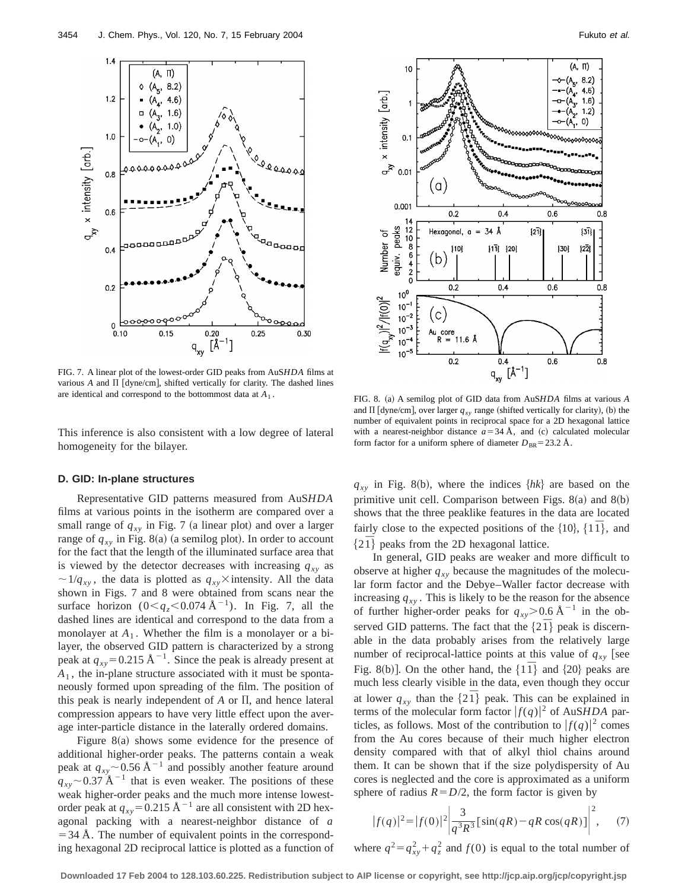

FIG. 7. A linear plot of the lowest-order GID peaks from AuS*HDA* films at various  $A$  and  $\Pi$  [dyne/cm], shifted vertically for clarity. The dashed lines are identical and correspond to the bottommost data at  $A_1$ .<br>FIG. 8. (a) A semilog plot of GID data from AuS*HDA* films at various  $A$ 

This inference is also consistent with a low degree of lateral homogeneity for the bilayer.

#### **D. GID: In-plane structures**

Representative GID patterns measured from AuS*HDA* films at various points in the isotherm are compared over a small range of  $q_{xy}$  in Fig. 7 (a linear plot) and over a larger range of  $q_{xy}$  in Fig. 8(a) (a semilog plot). In order to account for the fact that the length of the illuminated surface area that is viewed by the detector decreases with increasing  $q_{xy}$  as  $\sim 1/q_{xy}$ , the data is plotted as  $q_{xy}$ ×intensity. All the data shown in Figs. 7 and 8 were obtained from scans near the surface horizon  $(0< q<sub>z</sub> < 0.074 \text{ Å}^{-1})$ . In Fig. 7, all the dashed lines are identical and correspond to the data from a monolayer at  $A_1$ . Whether the film is a monolayer or a bilayer, the observed GID pattern is characterized by a strong peak at  $q_{xy}$ =0.215 Å<sup>-1</sup>. Since the peak is already present at *A*<sup>1</sup> , the in-plane structure associated with it must be spontaneously formed upon spreading of the film. The position of this peak is nearly independent of  $A$  or  $\Pi$ , and hence lateral compression appears to have very little effect upon the average inter-particle distance in the laterally ordered domains.

Figure  $8(a)$  shows some evidence for the presence of additional higher-order peaks. The patterns contain a weak peak at  $q_{xy}$  ~ 0.56 Å<sup>-1</sup> and possibly another feature around  $q_{xy}$  ~ 0.37 Å<sup>-1</sup> that is even weaker. The positions of these weak higher-order peaks and the much more intense lowestorder peak at  $q_{xy}$ =0.215 Å<sup>-1</sup> are all consistent with 2D hexagonal packing with a nearest-neighbor distance of *a*  $=$  34 Å. The number of equivalent points in the corresponding hexagonal 2D reciprocal lattice is plotted as a function of



and  $\Pi$  [dyne/cm], over larger  $q_{xy}$  range (shifted vertically for clarity), (b) the number of equivalent points in reciprocal space for a 2D hexagonal lattice with a nearest-neighbor distance  $a=34$  Å, and (c) calculated molecular form factor for a uniform sphere of diameter  $D_{BR}$ =23.2 Å.

 $q_{xy}$  in Fig. 8(b), where the indices  $\{hk\}$  are based on the primitive unit cell. Comparison between Figs.  $8(a)$  and  $8(b)$ shows that the three peaklike features in the data are located fairly close to the expected positions of the  $\{10\}$ ,  $\{11\}$ , and  $\{2\bar{1}\}\$  peaks from the 2D hexagonal lattice.

In general, GID peaks are weaker and more difficult to observe at higher  $q_{xy}$  because the magnitudes of the molecular form factor and the Debye–Waller factor decrease with increasing  $q_{xy}$ . This is likely to be the reason for the absence of further higher-order peaks for  $q_{xy}$ >0.6 Å<sup>-1</sup> in the observed GID patterns. The fact that the  $\{2\bar{T}\}\$  peak is discernable in the data probably arises from the relatively large number of reciprocal-lattice points at this value of  $q_{xy}$  [see Fig. 8(b)]. On the other hand, the  $\{1\bar{1}\}\$  and  $\{20\}\$  peaks are much less clearly visible in the data, even though they occur at lower  $q_{xy}$  than the  $\{2\bar{T}\}$  peak. This can be explained in terms of the molecular form factor  $|f(q)|^2$  of AuS*HDA* particles, as follows. Most of the contribution to  $|f(q)|^2$  comes from the Au cores because of their much higher electron density compared with that of alkyl thiol chains around them. It can be shown that if the size polydispersity of Au cores is neglected and the core is approximated as a uniform sphere of radius  $R = D/2$ , the form factor is given by

$$
|f(q)|^2 = |f(0)|^2 \left| \frac{3}{q^3 R^3} \left[ \sin(qR) - qR \cos(qR) \right] \right|^2, \quad (7)
$$

where  $q^2 = q_{xy}^2 + q_z^2$  and  $f(0)$  is equal to the total number of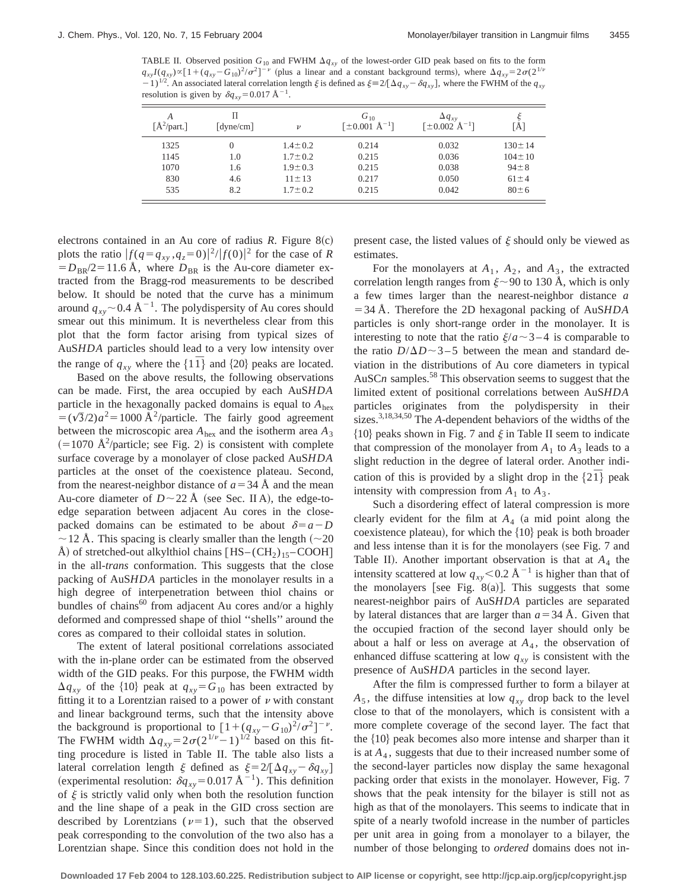TABLE II. Observed position  $G_{10}$  and FWHM  $\Delta q_{xy}$  of the lowest-order GID peak based on fits to the form  $q_{xy}I(q_{xy}) \propto [1 + (q_{xy}-G_{10})^2/\sigma^2]^{-\nu}$  (plus a linear and a constant background terms), where  $\Delta q_{xy} = 2\sigma(2^{1/\nu})$ 2. An associated lateral correlation length  $\xi$  is defined as  $\xi = 2[\Delta q_{xy} - \delta q_{xy}]$ , where the FWHM of the  $q_{xy}$ resolution is given by  $\delta q_{xy}$ =0.017 Å<sup>-1</sup>.

| A<br>$[A^2$ /part.] | Π<br>$\lceil$ dyne/cm $\rceil$ | $\boldsymbol{\nu}$ | $G_{10}$<br>$\lceil \pm 0.001 \,\mathrm{\AA}^{-1} \rceil$ | $\Delta q_{xy}$<br>$[\pm 0.002 \text{ Å}^{-1}]$ | [Å]          |
|---------------------|--------------------------------|--------------------|-----------------------------------------------------------|-------------------------------------------------|--------------|
| 1325                | 0                              | $1.4 \pm 0.2$      | 0.214                                                     | 0.032                                           | $130 \pm 14$ |
| 1145                | 1.0                            | $1.7 \pm 0.2$      | 0.215                                                     | 0.036                                           | $104 \pm 10$ |
| 1070                | 1.6                            | $1.9 \pm 0.3$      | 0.215                                                     | 0.038                                           | $94 \pm 8$   |
| 830                 | 4.6                            | $11 \pm 13$        | 0.217                                                     | 0.050                                           | $61 \pm 4$   |
| 535                 | 8.2                            | $1.7 \pm 0.2$      | 0.215                                                     | 0.042                                           | $80 \pm 6$   |

electrons contained in an Au core of radius  $R$ . Figure  $8(c)$ plots the ratio  $|f(q = q_{xy}, q_z = 0)|^2 / |f(0)|^2$  for the case of *R*  $= D_{BR}/2 = 11.6$  Å, where  $D_{BR}$  is the Au-core diameter extracted from the Bragg-rod measurements to be described below. It should be noted that the curve has a minimum around  $q_{xy}$  ~ 0.4 Å<sup>-1</sup>. The polydispersity of Au cores should smear out this minimum. It is nevertheless clear from this plot that the form factor arising from typical sizes of AuS*HDA* particles should lead to a very low intensity over the range of  $q_{xy}$  where the  $\{1\bar{1}\}\$  and  $\{20\}\$  peaks are located.

Based on the above results, the following observations can be made. First, the area occupied by each AuS*HDA* particle in the hexagonally packed domains is equal to *A*hex  $= (\sqrt{3}/2)a^2 = 1000 \text{ Å}^2/\text{particle}$ . The fairly good agreement between the microscopic area *A*hex and the isotherm area *A*<sup>3</sup>  $(=1070 \text{ Å}^2/\text{particle}$ ; see Fig. 2) is consistent with complete surface coverage by a monolayer of close packed AuS*HDA* particles at the onset of the coexistence plateau. Second, from the nearest-neighbor distance of  $a=34$  Å and the mean Au-core diameter of  $D \sim 22$  Å (see Sec. II A), the edge-toedge separation between adjacent Au cores in the closepacked domains can be estimated to be about  $\delta = a - D$  $\sim$  12 Å. This spacing is clearly smaller than the length ( $\sim$ 20 Å) of stretched-out alkylthiol chains  $[HS-(CH<sub>2</sub>)<sub>15</sub>-COOH]$ in the all-*trans* conformation. This suggests that the close packing of AuS*HDA* particles in the monolayer results in a high degree of interpenetration between thiol chains or bundles of chains<sup>60</sup> from adjacent Au cores and/or a highly deformed and compressed shape of thiol ''shells'' around the cores as compared to their colloidal states in solution.

The extent of lateral positional correlations associated with the in-plane order can be estimated from the observed width of the GID peaks. For this purpose, the FWHM width  $\Delta q_{xy}$  of the {10} peak at  $q_{xy} = G_{10}$  has been extracted by fitting it to a Lorentzian raised to a power of  $\nu$  with constant and linear background terms, such that the intensity above the background is proportional to  $[1+(q_{xy}-G_{10})^2/\sigma^2]^{-\nu}$ . The FWHM width  $\Delta q_{xy} = 2\sigma(2^{1/\nu}-1)^{1/2}$  based on this fitting procedure is listed in Table II. The table also lists a lateral correlation length  $\xi$  defined as  $\xi = 2/[\Delta q_{xy} - \delta q_{xy}]$ (experimental resolution:  $\delta q_{xy}$ =0.017 Å<sup>-1</sup>). This definition of  $\xi$  is strictly valid only when both the resolution function and the line shape of a peak in the GID cross section are described by Lorentzians ( $\nu=1$ ), such that the observed peak corresponding to the convolution of the two also has a Lorentzian shape. Since this condition does not hold in the present case, the listed values of  $\xi$  should only be viewed as estimates.

For the monolayers at  $A_1$ ,  $A_2$ , and  $A_3$ , the extracted correlation length ranges from  $\xi \sim 90$  to 130 Å, which is only a few times larger than the nearest-neighbor distance *a* 534 Å. Therefore the 2D hexagonal packing of AuS*HDA* particles is only short-range order in the monolayer. It is interesting to note that the ratio  $\xi/a \sim 3 - 4$  is comparable to the ratio  $D/\Delta D \sim 3-5$  between the mean and standard deviation in the distributions of Au core diameters in typical AuSC $n$  samples.<sup>58</sup> This observation seems to suggest that the limited extent of positional correlations between AuS*HDA* particles originates from the polydispersity in their sizes.3,18,34,50 The *A*-dependent behaviors of the widths of the  ${10}$  peaks shown in Fig. 7 and  $\xi$  in Table II seem to indicate that compression of the monolayer from  $A_1$  to  $A_3$  leads to a slight reduction in the degree of lateral order. Another indication of this is provided by a slight drop in the  $\{2\bar{1}\}\$  peak intensity with compression from  $A_1$  to  $A_3$ .

Such a disordering effect of lateral compression is more clearly evident for the film at  $A_4$  (a mid point along the coexistence plateau), for which the  $\{10\}$  peak is both broader and less intense than it is for the monolayers (see Fig. 7 and Table II). Another important observation is that at  $A_4$  the intensity scattered at low  $q_{xy}$ <0.2 Å<sup>-1</sup> is higher than that of the monolayers [see Fig. 8(a)]. This suggests that some nearest-neighbor pairs of AuS*HDA* particles are separated by lateral distances that are larger than  $a=34$  Å. Given that the occupied fraction of the second layer should only be about a half or less on average at  $A_4$ , the observation of enhanced diffuse scattering at low  $q_{xy}$  is consistent with the presence of AuS*HDA* particles in the second layer.

After the film is compressed further to form a bilayer at  $A_5$ , the diffuse intensities at low  $q_{xy}$  drop back to the level close to that of the monolayers, which is consistent with a more complete coverage of the second layer. The fact that the  $\{10\}$  peak becomes also more intense and sharper than it is at *A*<sup>4</sup> , suggests that due to their increased number some of the second-layer particles now display the same hexagonal packing order that exists in the monolayer. However, Fig. 7 shows that the peak intensity for the bilayer is still not as high as that of the monolayers. This seems to indicate that in spite of a nearly twofold increase in the number of particles per unit area in going from a monolayer to a bilayer, the number of those belonging to *ordered* domains does not in-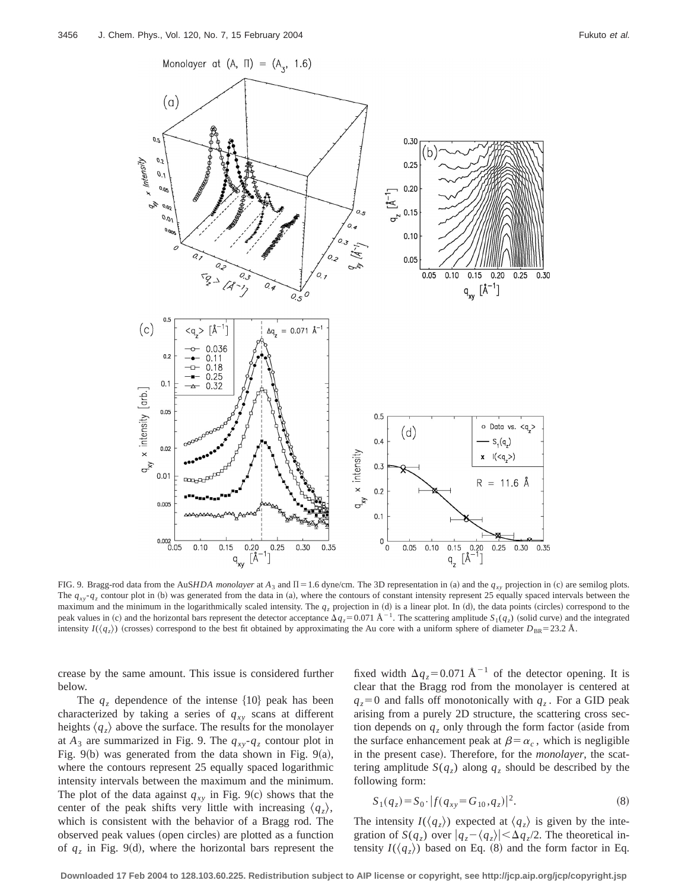

FIG. 9. Bragg-rod data from the AuS*HDA monolayer* at  $A_3$  and  $\Pi = 1.6$  dyne/cm. The 3D representation in (a) and the  $q_{xy}$  projection in (c) are semilog plots. The  $q_{xy}$ - $q_z$  contour plot in (b) was generated from the data in (a), where the contours of constant intensity represent 25 equally spaced intervals between the maximum and the minimum in the logarithmically scaled intensity. The  $q_z$  projection in (d) is a linear plot. In (d), the data points (circles) correspond to the peak values in (c) and the horizontal bars represent the detector acceptance  $\Delta q_z = 0.071 \text{ Å}^{-1}$ . The scattering amplitude  $S_1(q_z)$  (solid curve) and the integrated intensity  $I(\langle q_z \rangle)$  (crosses) correspond to the best fit obtained by approximating the Au core with a uniform sphere of diameter  $D_{BR} = 23.2 \text{ Å}$ .

crease by the same amount. This issue is considered further below.

The  $q<sub>z</sub>$  dependence of the intense  $\{10\}$  peak has been characterized by taking a series of  $q_{xy}$  scans at different heights  $\langle q_z \rangle$  above the surface. The results for the monolayer at  $A_3$  are summarized in Fig. 9. The  $q_{xy} - q_z$  contour plot in Fig.  $9(b)$  was generated from the data shown in Fig.  $9(a)$ , where the contours represent 25 equally spaced logarithmic intensity intervals between the maximum and the minimum. The plot of the data against  $q_{xy}$  in Fig. 9(c) shows that the center of the peak shifts very little with increasing  $\langle q_z \rangle$ , which is consistent with the behavior of a Bragg rod. The observed peak values (open circles) are plotted as a function of  $q_z$  in Fig. 9(d), where the horizontal bars represent the fixed width  $\Delta q_z = 0.071 \text{ Å}^{-1}$  of the detector opening. It is clear that the Bragg rod from the monolayer is centered at  $q_z = 0$  and falls off monotonically with  $q_z$ . For a GID peak arising from a purely 2D structure, the scattering cross section depends on  $q<sub>z</sub>$  only through the form factor (aside from the surface enhancement peak at  $\beta = \alpha_c$ , which is negligible in the present case). Therefore, for the *monolayer*, the scattering amplitude  $S(q_z)$  along  $q_z$  should be described by the following form:

$$
S_1(q_z) = S_0 \cdot |f(q_{xy} = G_{10}, q_z)|^2. \tag{8}
$$

The intensity  $I(\langle q_z \rangle)$  expected at  $\langle q_z \rangle$  is given by the integration of  $S(q_z)$  over  $|q_z - \langle q_z \rangle| < \Delta q_z/2$ . The theoretical intensity  $I(\langle q_z \rangle)$  based on Eq. (8) and the form factor in Eq.

**Downloaded 17 Feb 2004 to 128.103.60.225. Redistribution subject to AIP license or copyright, see http://jcp.aip.org/jcp/copyright.jsp**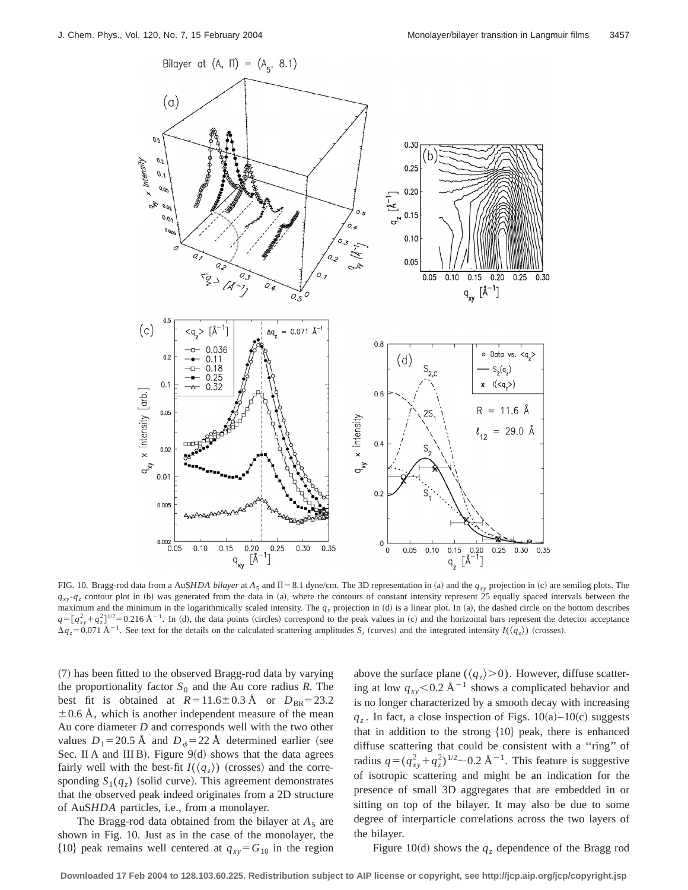

FIG. 10. Bragg-rod data from a AuS*HDA bilayer* at  $A_5$  and  $\Pi = 8.1$  dyne/cm. The 3D representation in (a) and the  $q_{xy}$  projection in (c) are semilog plots. The  $q_{xy}$ -*q<sub>z</sub>* contour plot in (b) was generated from the data in (a), where the contours of constant intensity represent 25 equally spaced intervals between the maximum and the minimum in the logarithmically scaled intensity. The  $q_z$  projection in (d) is a linear plot. In (a), the dashed circle on the bottom describes  $q = [q_{xy}^2 + q_z^2]^{1/2} = 0.216$  Å<sup>-1</sup>. In (d), the data points (circles) correspond to the peak values in (c) and the horizontal bars represent the detector acceptance  $\Delta q_z = 0.071 \text{ Å}^{-1}$ . See text for the details on the calculated scattering amplitudes  $S_i$  (curves) and the integrated intensity *I*( $\langle q_z \rangle$ ) (crosses).

~7! has been fitted to the observed Bragg-rod data by varying the proportionality factor  $S_0$  and the Au core radius *R*. The best fit is obtained at  $R=11.6\pm0.3$  Å or  $D_{BR}=23.2$  $\pm$  0.6 Å, which is another independent measure of the mean Au core diameter *D* and corresponds well with the two other values  $D_1$ =20.5 Å and  $D_{\phi}$ =22 Å determined earlier (see Sec. II A and III B). Figure  $9(d)$  shows that the data agrees fairly well with the best-fit  $I(\langle q_z \rangle)$  (crosses) and the corresponding  $S_1(q_z)$  (solid curve). This agreement demonstrates that the observed peak indeed originates from a 2D structure of AuS*HDA* particles, i.e., from a monolayer.

The Bragg-rod data obtained from the bilayer at  $A_5$  are shown in Fig. 10. Just as in the case of the monolayer, the  ${10}$  peak remains well centered at  $q_{xy} = G_{10}$  in the region

above the surface plane  $(\langle q_z \rangle > 0)$ . However, diffuse scattering at low  $q_{xy}$ <0.2 Å<sup>-1</sup> shows a complicated behavior and is no longer characterized by a smooth decay with increasing  $q_z$ . In fact, a close inspection of Figs.  $10(a)-10(c)$  suggests that in addition to the strong  $\{10\}$  peak, there is enhanced diffuse scattering that could be consistent with a ''ring'' of radius  $q = (q_{xy}^2 + q_z^2)^{1/2} \sim 0.2$  Å<sup>-1</sup>. This feature is suggestive of isotropic scattering and might be an indication for the presence of small 3D aggregates that are embedded in or sitting on top of the bilayer. It may also be due to some degree of interparticle correlations across the two layers of the bilayer.

Figure 10(d) shows the  $q<sub>z</sub>$  dependence of the Bragg rod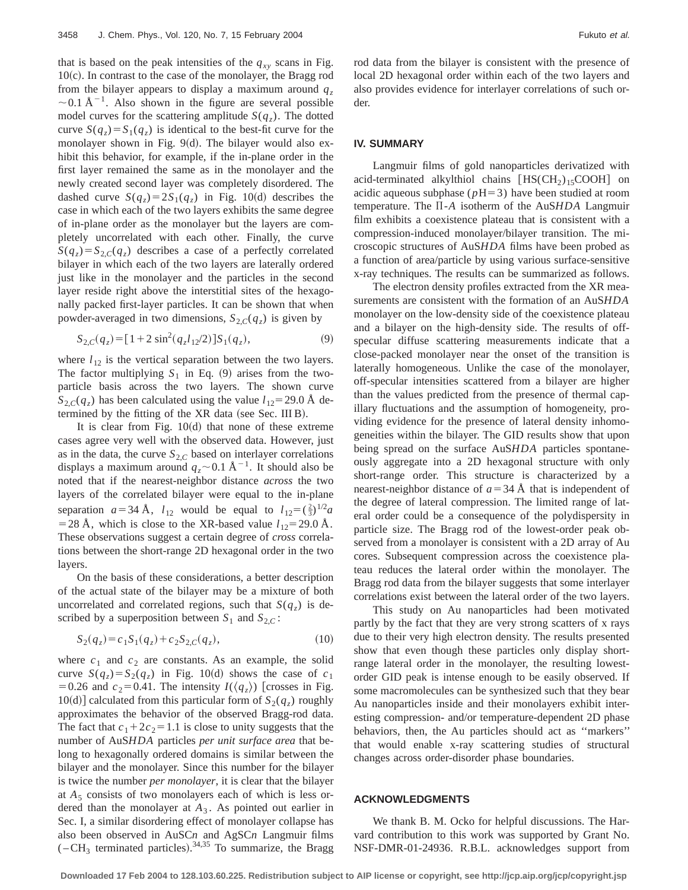that is based on the peak intensities of the  $q_{xy}$  scans in Fig.  $10(c)$ . In contrast to the case of the monolayer, the Bragg rod from the bilayer appears to display a maximum around  $q_z$  $\sim$  0.1 Å<sup>-1</sup>. Also shown in the figure are several possible model curves for the scattering amplitude  $S(q_z)$ . The dotted curve  $S(q_z) = S_1(q_z)$  is identical to the best-fit curve for the monolayer shown in Fig.  $9(d)$ . The bilayer would also exhibit this behavior, for example, if the in-plane order in the first layer remained the same as in the monolayer and the newly created second layer was completely disordered. The dashed curve  $S(q_z) = 2S_1(q_z)$  in Fig. 10(d) describes the case in which each of the two layers exhibits the same degree of in-plane order as the monolayer but the layers are completely uncorrelated with each other. Finally, the curve  $S(q_z) = S_{2,C}(q_z)$  describes a case of a perfectly correlated bilayer in which each of the two layers are laterally ordered just like in the monolayer and the particles in the second layer reside right above the interstitial sites of the hexagonally packed first-layer particles. It can be shown that when powder-averaged in two dimensions,  $S_{2,C}(q_z)$  is given by

$$
S_{2,C}(q_z) = [1 + 2\sin^2(q_z l_{12}/2)] S_1(q_z), \tag{9}
$$

where  $l_{12}$  is the vertical separation between the two layers. The factor multiplying  $S_1$  in Eq. (9) arises from the twoparticle basis across the two layers. The shown curve  $S_{2,C}(q_z)$  has been calculated using the value  $l_{12}$ =29.0 Å determined by the fitting of the  $XR$  data (see Sec. III B).

It is clear from Fig.  $10(d)$  that none of these extreme cases agree very well with the observed data. However, just as in the data, the curve  $S_{2,C}$  based on interlayer correlations displays a maximum around  $q_z \sim 0.1 \text{ Å}^{-1}$ . It should also be noted that if the nearest-neighbor distance *across* the two layers of the correlated bilayer were equal to the in-plane separation  $a=34 \text{ Å}$ ,  $l_{12}$  would be equal to  $l_{12}=(\frac{2}{3})^{1/2}a$ = 28 Å, which is close to the XR-based value  $l_{12}$ = 29.0 Å. These observations suggest a certain degree of *cross* correlations between the short-range 2D hexagonal order in the two layers.

On the basis of these considerations, a better description of the actual state of the bilayer may be a mixture of both uncorrelated and correlated regions, such that  $S(q_z)$  is described by a superposition between  $S_1$  and  $S_{2,C}$ :

$$
S_2(q_z) = c_1 S_1(q_z) + c_2 S_{2,C}(q_z),\tag{10}
$$

where  $c_1$  and  $c_2$  are constants. As an example, the solid curve  $S(q_z) = S_2(q_z)$  in Fig. 10(d) shows the case of  $c_1$ =0.26 and  $c_2$ =0.41. The intensity  $I(\langle q_z \rangle)$  [crosses in Fig.  $10(d)$  calculated from this particular form of  $S_2(q_z)$  roughly approximates the behavior of the observed Bragg-rod data. The fact that  $c_1+2c_2=1.1$  is close to unity suggests that the number of AuS*HDA* particles *per unit surface area* that belong to hexagonally ordered domains is similar between the bilayer and the monolayer. Since this number for the bilayer is twice the number *per monolayer*, it is clear that the bilayer at *A*<sup>5</sup> consists of two monolayers each of which is less ordered than the monolayer at *A*<sup>3</sup> . As pointed out earlier in Sec. I, a similar disordering effect of monolayer collapse has also been observed in AuSC*n* and AgSC*n* Langmuir films  $(-CH<sub>3</sub>$  terminated particles).<sup>34,35</sup> To summarize, the Bragg rod data from the bilayer is consistent with the presence of local 2D hexagonal order within each of the two layers and also provides evidence for interlayer correlations of such order.

#### **IV. SUMMARY**

Langmuir films of gold nanoparticles derivatized with acid-terminated alkylthiol chains  $[\text{HS}(\text{CH}_2)_15\text{COOH}]$  on acidic aqueous subphase  $(pH=3)$  have been studied at room temperature. The Π-A isotherm of the AuS*HDA* Langmuir film exhibits a coexistence plateau that is consistent with a compression-induced monolayer/bilayer transition. The microscopic structures of AuS*HDA* films have been probed as a function of area/particle by using various surface-sensitive x-ray techniques. The results can be summarized as follows.

The electron density profiles extracted from the XR measurements are consistent with the formation of an AuS*HDA* monolayer on the low-density side of the coexistence plateau and a bilayer on the high-density side. The results of offspecular diffuse scattering measurements indicate that a close-packed monolayer near the onset of the transition is laterally homogeneous. Unlike the case of the monolayer, off-specular intensities scattered from a bilayer are higher than the values predicted from the presence of thermal capillary fluctuations and the assumption of homogeneity, providing evidence for the presence of lateral density inhomogeneities within the bilayer. The GID results show that upon being spread on the surface AuS*HDA* particles spontaneously aggregate into a 2D hexagonal structure with only short-range order. This structure is characterized by a nearest-neighbor distance of  $a=34$  Å that is independent of the degree of lateral compression. The limited range of lateral order could be a consequence of the polydispersity in particle size. The Bragg rod of the lowest-order peak observed from a monolayer is consistent with a 2D array of Au cores. Subsequent compression across the coexistence plateau reduces the lateral order within the monolayer. The Bragg rod data from the bilayer suggests that some interlayer correlations exist between the lateral order of the two layers.

This study on Au nanoparticles had been motivated partly by the fact that they are very strong scatters of x rays due to their very high electron density. The results presented show that even though these particles only display shortrange lateral order in the monolayer, the resulting lowestorder GID peak is intense enough to be easily observed. If some macromolecules can be synthesized such that they bear Au nanoparticles inside and their monolayers exhibit interesting compression- and/or temperature-dependent 2D phase behaviors, then, the Au particles should act as ''markers'' that would enable x-ray scattering studies of structural changes across order-disorder phase boundaries.

## **ACKNOWLEDGMENTS**

We thank B. M. Ocko for helpful discussions. The Harvard contribution to this work was supported by Grant No. NSF-DMR-01-24936. R.B.L. acknowledges support from